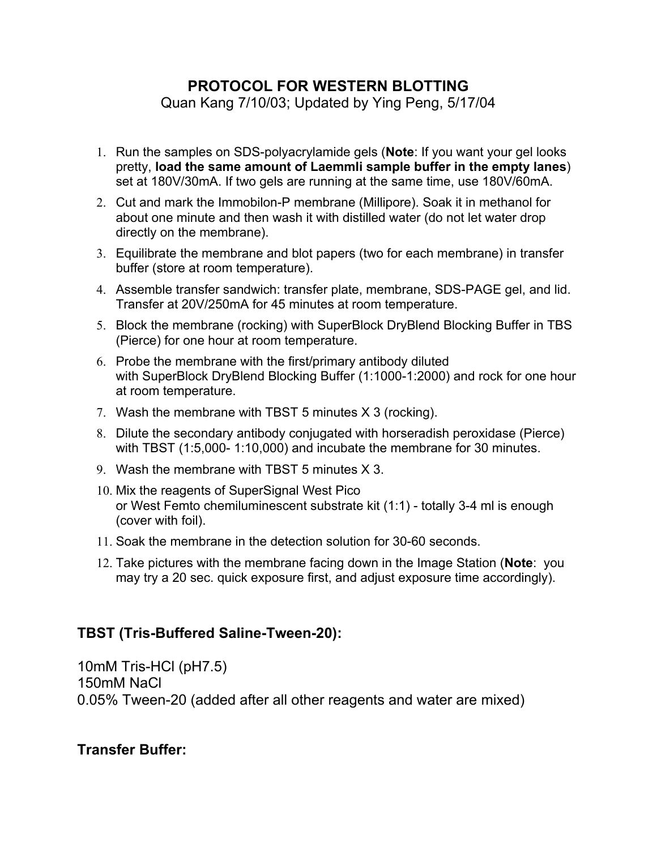## **PROTOCOL FOR WESTERN BLOTTING**

Quan Kang 7/10/03; Updated by Ying Peng, 5/17/04

- 1. Run the samples on SDS-polyacrylamide gels (**Note**: If you want your gel looks pretty, **load the same amount of Laemmli sample buffer in the empty lanes**) set at 180V/30mA. If two gels are running at the same time, use 180V/60mA.
- 2. Cut and mark the Immobilon-P membrane (Millipore). Soak it in methanol for about one minute and then wash it with distilled water (do not let water drop directly on the membrane).
- 3. Equilibrate the membrane and blot papers (two for each membrane) in transfer buffer (store at room temperature).
- 4. Assemble transfer sandwich: transfer plate, membrane, SDS-PAGE gel, and lid. Transfer at 20V/250mA for 45 minutes at room temperature.
- 5. Block the membrane (rocking) with SuperBlock DryBlend Blocking Buffer in TBS (Pierce) for one hour at room temperature.
- 6. Probe the membrane with the first/primary antibody diluted with SuperBlock DryBlend Blocking Buffer (1:1000-1:2000) and rock for one hour at room temperature.
- 7. Wash the membrane with TBST 5 minutes X 3 (rocking).
- 8. Dilute the secondary antibody conjugated with horseradish peroxidase (Pierce) with TBST (1:5,000- 1:10,000) and incubate the membrane for 30 minutes.
- 9. Wash the membrane with TBST 5 minutes X 3.
- 10. Mix the reagents of SuperSignal West Pico or West Femto chemiluminescent substrate kit (1:1) - totally 3-4 ml is enough (cover with foil).
- 11. Soak the membrane in the detection solution for 30-60 seconds.
- 12. Take pictures with the membrane facing down in the Image Station (**Note**: you may try a 20 sec. quick exposure first, and adjust exposure time accordingly).

## **TBST (Tris-Buffered Saline-Tween-20):**

10mM Tris-HCl (pH7.5) 150mM NaCl 0.05% Tween-20 (added after all other reagents and water are mixed)

## **Transfer Buffer:**